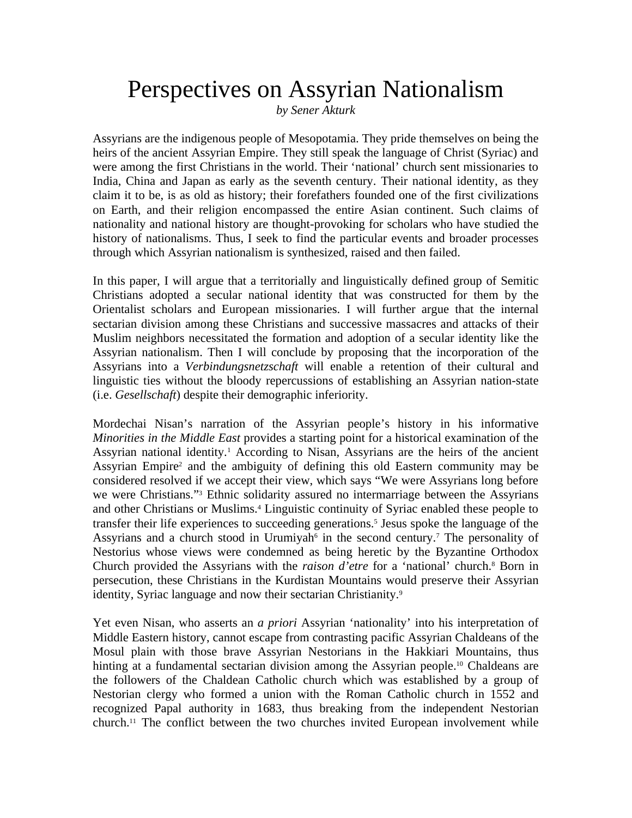## Perspectives on Assyrian Nationalism

*by Sener Akturk*

Assyrians are the indigenous people of Mesopotamia. They pride themselves on being the heirs of the ancient Assyrian Empire. They still speak the language of Christ (Syriac) and were among the first Christians in the world. Their 'national' church sent missionaries to India, China and Japan as early as the seventh century. Their national identity, as they claim it to be, is as old as history; their forefathers founded one of the first civilizations on Earth, and their religion encompassed the entire Asian continent. Such claims of nationality and national history are thought-provoking for scholars who have studied the history of nationalisms. Thus, I seek to find the particular events and broader processes through which Assyrian nationalism is synthesized, raised and then failed.

In this paper, I will argue that a territorially and linguistically defined group of Semitic Christians adopted a secular national identity that was constructed for them by the Orientalist scholars and European missionaries. I will further argue that the internal sectarian division among these Christians and successive massacres and attacks of their Muslim neighbors necessitated the formation and adoption of a secular identity like the Assyrian nationalism. Then I will conclude by proposing that the incorporation of the Assyrians into a *Verbindungsnetzschaft* will enable a retention of their cultural and linguistic ties without the bloody repercussions of establishing an Assyrian nation-state (i.e. *Gesellschaft*) despite their demographic inferiority.

Mordechai Nisan's narration of the Assyrian people's history in his informative *Minorities in the Middle East* provides a starting point for a historical examination of the Assyrian national identity.<sup>1</sup> According to Nisan, Assyrians are the heirs of the ancient Assyrian Empire<sup>2</sup> and the ambiguity of defining this old Eastern community may be considered resolved if we accept their view, which says "We were Assyrians long before we were Christians."<sup>3</sup> Ethnic solidarity assured no intermarriage between the Assyrians and other Christians or Muslims.<sup>4</sup> Linguistic continuity of Syriac enabled these people to transfer their life experiences to succeeding generations.<sup>5</sup> Jesus spoke the language of the Assyrians and a church stood in Urumiyah<sup>6</sup> in the second century.<sup>7</sup> The personality of Nestorius whose views were condemned as being heretic by the Byzantine Orthodox Church provided the Assyrians with the *raison d'etre* for a 'national' church.<sup>8</sup> Born in persecution, these Christians in the Kurdistan Mountains would preserve their Assyrian identity, Syriac language and now their sectarian Christianity.<sup>9</sup>

Yet even Nisan, who asserts an *a priori* Assyrian 'nationality' into his interpretation of Middle Eastern history, cannot escape from contrasting pacific Assyrian Chaldeans of the Mosul plain with those brave Assyrian Nestorians in the Hakkiari Mountains, thus hinting at a fundamental sectarian division among the Assyrian people.<sup>10</sup> Chaldeans are the followers of the Chaldean Catholic church which was established by a group of Nestorian clergy who formed a union with the Roman Catholic church in 1552 and recognized Papal authority in 1683, thus breaking from the independent Nestorian church.<sup>11</sup> The conflict between the two churches invited European involvement while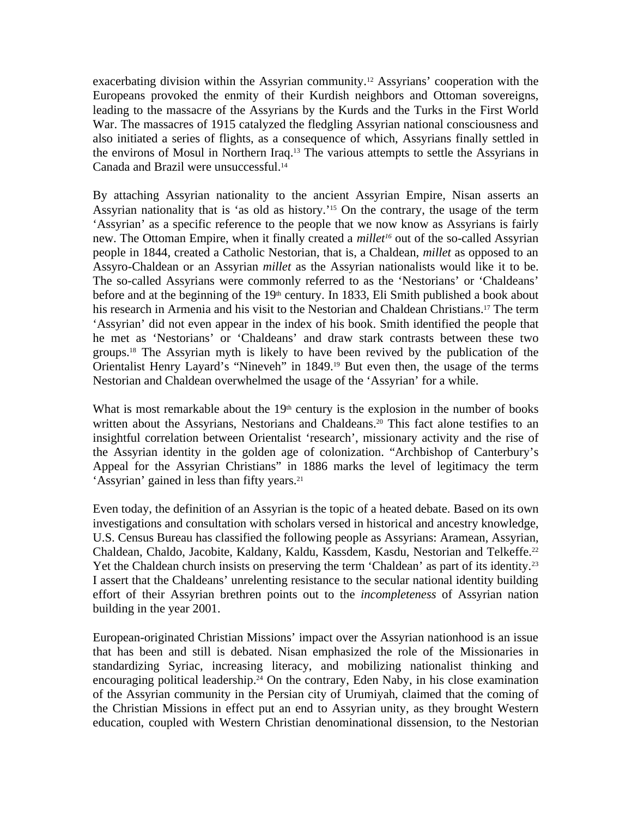exacerbating division within the Assyrian community.<sup>12</sup> Assyrians' cooperation with the Europeans provoked the enmity of their Kurdish neighbors and Ottoman sovereigns, leading to the massacre of the Assyrians by the Kurds and the Turks in the First World War. The massacres of 1915 catalyzed the fledgling Assyrian national consciousness and also initiated a series of flights, as a consequence of which, Assyrians finally settled in the environs of Mosul in Northern Iraq.<sup>13</sup> The various attempts to settle the Assyrians in Canada and Brazil were unsuccessful.<sup>14</sup>

By attaching Assyrian nationality to the ancient Assyrian Empire, Nisan asserts an Assyrian nationality that is 'as old as history.'<sup>15</sup> On the contrary, the usage of the term 'Assyrian' as a specific reference to the people that we now know as Assyrians is fairly new. The Ottoman Empire, when it finally created a *millet16* out of the so-called Assyrian people in 1844, created a Catholic Nestorian, that is, a Chaldean, *millet* as opposed to an Assyro-Chaldean or an Assyrian *millet* as the Assyrian nationalists would like it to be. The so-called Assyrians were commonly referred to as the 'Nestorians' or 'Chaldeans' before and at the beginning of the  $19<sup>th</sup>$  century. In 1833, Eli Smith published a book about his research in Armenia and his visit to the Nestorian and Chaldean Christians.<sup>17</sup> The term 'Assyrian' did not even appear in the index of his book. Smith identified the people that he met as 'Nestorians' or 'Chaldeans' and draw stark contrasts between these two groups.<sup>18</sup> The Assyrian myth is likely to have been revived by the publication of the Orientalist Henry Layard's "Nineveh" in 1849.<sup>19</sup> But even then, the usage of the terms Nestorian and Chaldean overwhelmed the usage of the 'Assyrian' for a while.

What is most remarkable about the  $19<sup>th</sup>$  century is the explosion in the number of books written about the Assyrians, Nestorians and Chaldeans.<sup>20</sup> This fact alone testifies to an insightful correlation between Orientalist 'research', missionary activity and the rise of the Assyrian identity in the golden age of colonization. "Archbishop of Canterbury's Appeal for the Assyrian Christians" in 1886 marks the level of legitimacy the term 'Assyrian' gained in less than fifty years.<sup>21</sup>

Even today, the definition of an Assyrian is the topic of a heated debate. Based on its own investigations and consultation with scholars versed in historical and ancestry knowledge, U.S. Census Bureau has classified the following people as Assyrians: Aramean, Assyrian, Chaldean, Chaldo, Jacobite, Kaldany, Kaldu, Kassdem, Kasdu, Nestorian and Telkeffe.<sup>22</sup> Yet the Chaldean church insists on preserving the term 'Chaldean' as part of its identity.<sup>23</sup> I assert that the Chaldeans' unrelenting resistance to the secular national identity building effort of their Assyrian brethren points out to the *incompleteness* of Assyrian nation building in the year 2001.

European-originated Christian Missions' impact over the Assyrian nationhood is an issue that has been and still is debated. Nisan emphasized the role of the Missionaries in standardizing Syriac, increasing literacy, and mobilizing nationalist thinking and encouraging political leadership.<sup>24</sup> On the contrary, Eden Naby, in his close examination of the Assyrian community in the Persian city of Urumiyah, claimed that the coming of the Christian Missions in effect put an end to Assyrian unity, as they brought Western education, coupled with Western Christian denominational dissension, to the Nestorian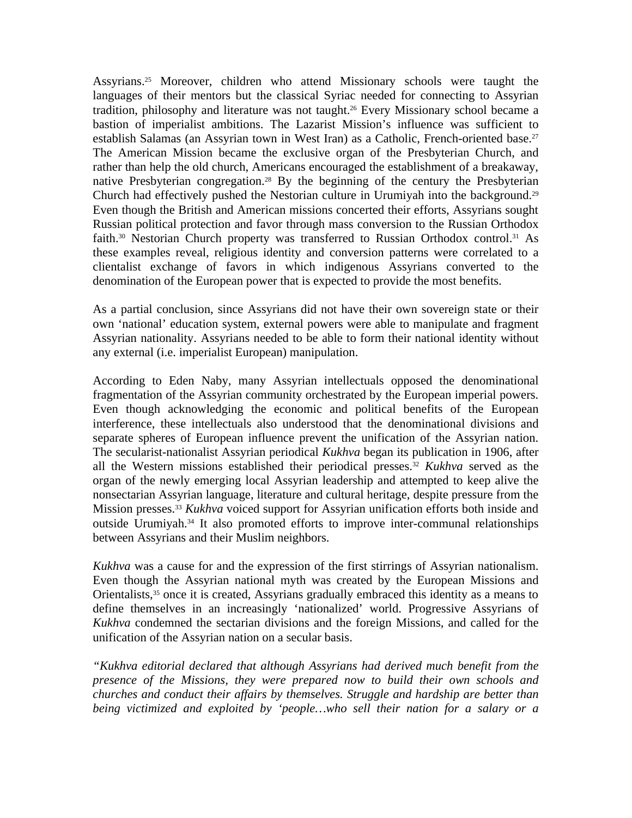Assyrians.<sup>25</sup> Moreover, children who attend Missionary schools were taught the languages of their mentors but the classical Syriac needed for connecting to Assyrian tradition, philosophy and literature was not taught.<sup>26</sup> Every Missionary school became a bastion of imperialist ambitions. The Lazarist Mission's influence was sufficient to establish Salamas (an Assyrian town in West Iran) as a Catholic, French-oriented base.<sup>27</sup> The American Mission became the exclusive organ of the Presbyterian Church, and rather than help the old church, Americans encouraged the establishment of a breakaway, native Presbyterian congregation.<sup>28</sup> By the beginning of the century the Presbyterian Church had effectively pushed the Nestorian culture in Urumiyah into the background.<sup>29</sup> Even though the British and American missions concerted their efforts, Assyrians sought Russian political protection and favor through mass conversion to the Russian Orthodox faith.<sup>30</sup> Nestorian Church property was transferred to Russian Orthodox control.<sup>31</sup> As these examples reveal, religious identity and conversion patterns were correlated to a clientalist exchange of favors in which indigenous Assyrians converted to the denomination of the European power that is expected to provide the most benefits.

As a partial conclusion, since Assyrians did not have their own sovereign state or their own 'national' education system, external powers were able to manipulate and fragment Assyrian nationality. Assyrians needed to be able to form their national identity without any external (i.e. imperialist European) manipulation.

According to Eden Naby, many Assyrian intellectuals opposed the denominational fragmentation of the Assyrian community orchestrated by the European imperial powers. Even though acknowledging the economic and political benefits of the European interference, these intellectuals also understood that the denominational divisions and separate spheres of European influence prevent the unification of the Assyrian nation. The secularist-nationalist Assyrian periodical *Kukhva* began its publication in 1906, after all the Western missions established their periodical presses.<sup>32</sup> *Kukhva* served as the organ of the newly emerging local Assyrian leadership and attempted to keep alive the nonsectarian Assyrian language, literature and cultural heritage, despite pressure from the Mission presses.<sup>33</sup> *Kukhva* voiced support for Assyrian unification efforts both inside and outside Urumiyah.<sup>34</sup> It also promoted efforts to improve inter-communal relationships between Assyrians and their Muslim neighbors.

*Kukhva* was a cause for and the expression of the first stirrings of Assyrian nationalism. Even though the Assyrian national myth was created by the European Missions and Orientalists,<sup>35</sup> once it is created, Assyrians gradually embraced this identity as a means to define themselves in an increasingly 'nationalized' world. Progressive Assyrians of *Kukhva* condemned the sectarian divisions and the foreign Missions, and called for the unification of the Assyrian nation on a secular basis.

*"Kukhva editorial declared that although Assyrians had derived much benefit from the presence of the Missions, they were prepared now to build their own schools and churches and conduct their affairs by themselves. Struggle and hardship are better than being victimized and exploited by 'people…who sell their nation for a salary or a*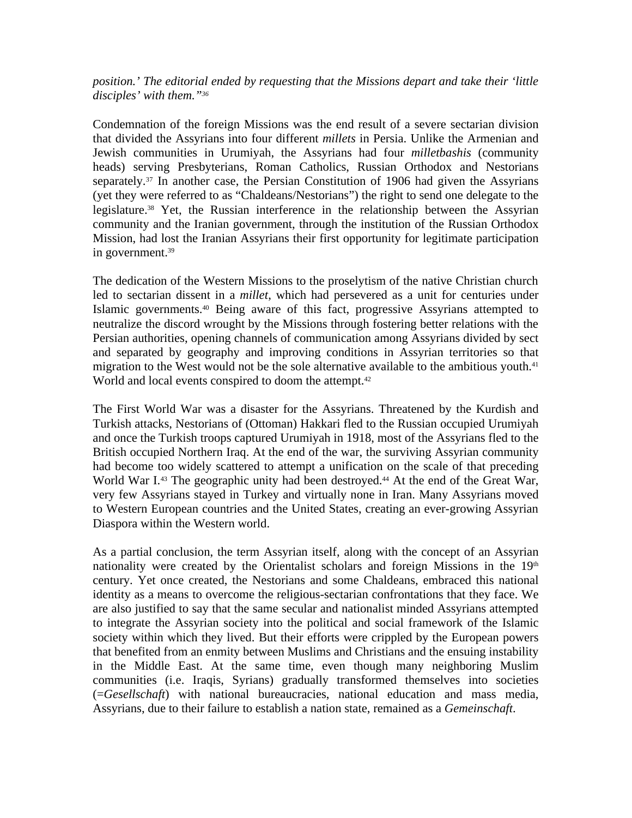*position.' The editorial ended by requesting that the Missions depart and take their 'little disciples' with them."<sup>36</sup>*

Condemnation of the foreign Missions was the end result of a severe sectarian division that divided the Assyrians into four different *millets* in Persia. Unlike the Armenian and Jewish communities in Urumiyah, the Assyrians had four *milletbashis* (community heads) serving Presbyterians, Roman Catholics, Russian Orthodox and Nestorians separately.<sup>37</sup> In another case, the Persian Constitution of 1906 had given the Assyrians (yet they were referred to as "Chaldeans/Nestorians") the right to send one delegate to the legislature.<sup>38</sup> Yet, the Russian interference in the relationship between the Assyrian community and the Iranian government, through the institution of the Russian Orthodox Mission, had lost the Iranian Assyrians their first opportunity for legitimate participation in government.<sup>39</sup>

The dedication of the Western Missions to the proselytism of the native Christian church led to sectarian dissent in a *millet*, which had persevered as a unit for centuries under Islamic governments.<sup>40</sup> Being aware of this fact, progressive Assyrians attempted to neutralize the discord wrought by the Missions through fostering better relations with the Persian authorities, opening channels of communication among Assyrians divided by sect and separated by geography and improving conditions in Assyrian territories so that migration to the West would not be the sole alternative available to the ambitious youth.<sup>41</sup> World and local events conspired to doom the attempt.<sup>42</sup>

The First World War was a disaster for the Assyrians. Threatened by the Kurdish and Turkish attacks, Nestorians of (Ottoman) Hakkari fled to the Russian occupied Urumiyah and once the Turkish troops captured Urumiyah in 1918, most of the Assyrians fled to the British occupied Northern Iraq. At the end of the war, the surviving Assyrian community had become too widely scattered to attempt a unification on the scale of that preceding World War I.<sup>43</sup> The geographic unity had been destroyed.<sup>44</sup> At the end of the Great War, very few Assyrians stayed in Turkey and virtually none in Iran. Many Assyrians moved to Western European countries and the United States, creating an ever-growing Assyrian Diaspora within the Western world.

As a partial conclusion, the term Assyrian itself, along with the concept of an Assyrian nationality were created by the Orientalist scholars and foreign Missions in the 19th century. Yet once created, the Nestorians and some Chaldeans, embraced this national identity as a means to overcome the religious-sectarian confrontations that they face. We are also justified to say that the same secular and nationalist minded Assyrians attempted to integrate the Assyrian society into the political and social framework of the Islamic society within which they lived. But their efforts were crippled by the European powers that benefited from an enmity between Muslims and Christians and the ensuing instability in the Middle East. At the same time, even though many neighboring Muslim communities (i.e. Iraqis, Syrians) gradually transformed themselves into societies (=*Gesellschaft*) with national bureaucracies, national education and mass media, Assyrians, due to their failure to establish a nation state, remained as a *Gemeinschaft*.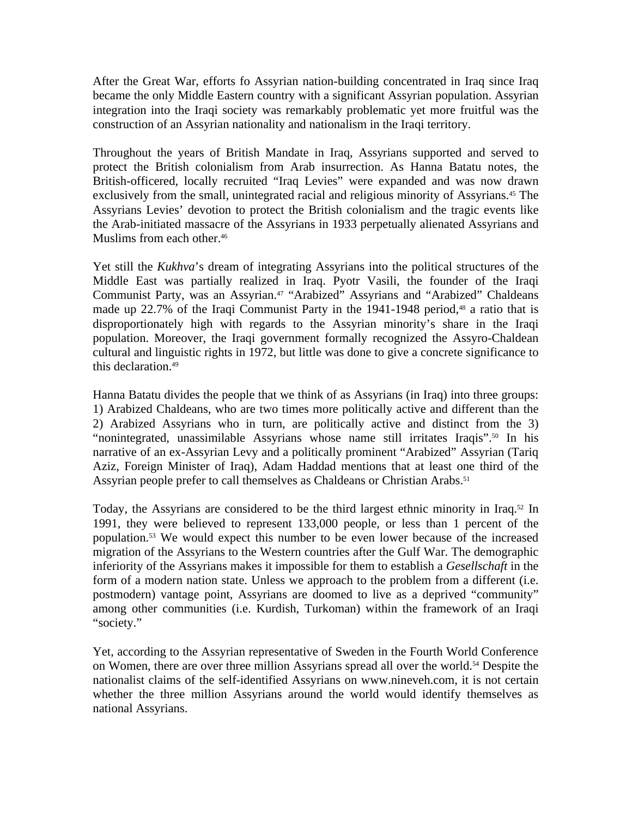After the Great War, efforts fo Assyrian nation-building concentrated in Iraq since Iraq became the only Middle Eastern country with a significant Assyrian population. Assyrian integration into the Iraqi society was remarkably problematic yet more fruitful was the construction of an Assyrian nationality and nationalism in the Iraqi territory.

Throughout the years of British Mandate in Iraq, Assyrians supported and served to protect the British colonialism from Arab insurrection. As Hanna Batatu notes, the British-officered, locally recruited "Iraq Levies" were expanded and was now drawn exclusively from the small, unintegrated racial and religious minority of Assyrians.<sup>45</sup> The Assyrians Levies' devotion to protect the British colonialism and the tragic events like the Arab-initiated massacre of the Assyrians in 1933 perpetually alienated Assyrians and Muslims from each other.<sup>46</sup>

Yet still the *Kukhva*'s dream of integrating Assyrians into the political structures of the Middle East was partially realized in Iraq. Pyotr Vasili, the founder of the Iraqi Communist Party, was an Assyrian.<sup>47</sup> "Arabized" Assyrians and "Arabized" Chaldeans made up  $22.7\%$  of the Iraqi Communist Party in the 1941-1948 period,<sup>48</sup> a ratio that is disproportionately high with regards to the Assyrian minority's share in the Iraqi population. Moreover, the Iraqi government formally recognized the Assyro-Chaldean cultural and linguistic rights in 1972, but little was done to give a concrete significance to this declaration.<sup>49</sup>

Hanna Batatu divides the people that we think of as Assyrians (in Iraq) into three groups: 1) Arabized Chaldeans, who are two times more politically active and different than the 2) Arabized Assyrians who in turn, are politically active and distinct from the 3) "nonintegrated, unassimilable Assyrians whose name still irritates Iraqis".<sup>50</sup> In his narrative of an ex-Assyrian Levy and a politically prominent "Arabized" Assyrian (Tariq Aziz, Foreign Minister of Iraq), Adam Haddad mentions that at least one third of the Assyrian people prefer to call themselves as Chaldeans or Christian Arabs.<sup>51</sup>

Today, the Assyrians are considered to be the third largest ethnic minority in Iraq.<sup>52</sup> In 1991, they were believed to represent 133,000 people, or less than 1 percent of the population.<sup>53</sup> We would expect this number to be even lower because of the increased migration of the Assyrians to the Western countries after the Gulf War. The demographic inferiority of the Assyrians makes it impossible for them to establish a *Gesellschaft* in the form of a modern nation state. Unless we approach to the problem from a different (i.e. postmodern) vantage point, Assyrians are doomed to live as a deprived "community" among other communities (i.e. Kurdish, Turkoman) within the framework of an Iraqi "society."

Yet, according to the Assyrian representative of Sweden in the Fourth World Conference on Women, there are over three million Assyrians spread all over the world.<sup>54</sup> Despite the nationalist claims of the self-identified Assyrians on www.nineveh.com, it is not certain whether the three million Assyrians around the world would identify themselves as national Assyrians.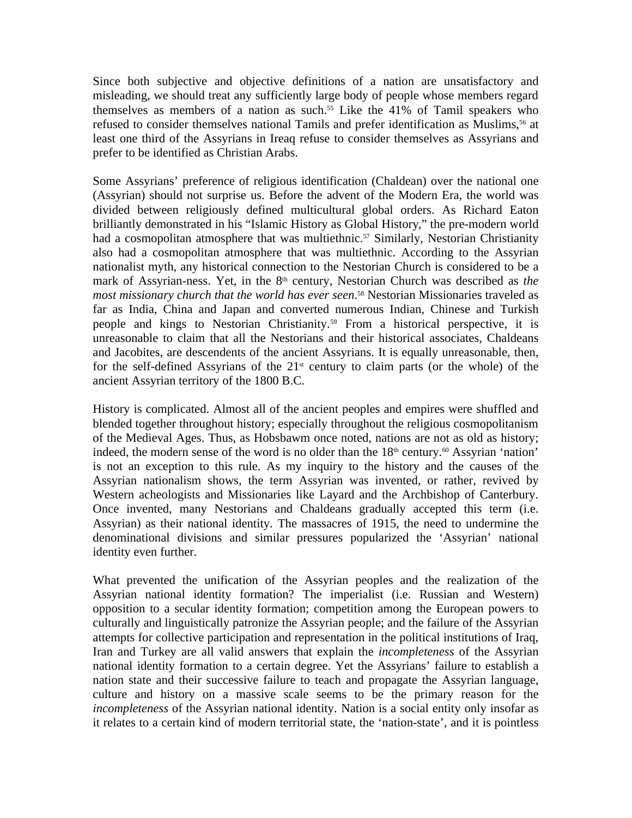Since both subjective and objective definitions of a nation are unsatisfactory and misleading, we should treat any sufficiently large body of people whose members regard themselves as members of a nation as such.<sup>55</sup> Like the 41% of Tamil speakers who refused to consider themselves national Tamils and prefer identification as Muslims,<sup>56</sup> at least one third of the Assyrians in Ireaq refuse to consider themselves as Assyrians and prefer to be identified as Christian Arabs.

Some Assyrians' preference of religious identification (Chaldean) over the national one (Assyrian) should not surprise us. Before the advent of the Modern Era, the world was divided between religiously defined multicultural global orders. As Richard Eaton brilliantly demonstrated in his "Islamic History as Global History," the pre-modern world had a cosmopolitan atmosphere that was multiethnic.<sup>57</sup> Similarly, Nestorian Christianity also had a cosmopolitan atmosphere that was multiethnic. According to the Assyrian nationalist myth, any historical connection to the Nestorian Church is considered to be a mark of Assyrian-ness. Yet, in the 8<sup>th</sup> century, Nestorian Church was described as *the most missionary church that the world has ever seen*. <sup>58</sup> Nestorian Missionaries traveled as far as India, China and Japan and converted numerous Indian, Chinese and Turkish people and kings to Nestorian Christianity.<sup>59</sup> From a historical perspective, it is unreasonable to claim that all the Nestorians and their historical associates, Chaldeans and Jacobites, are descendents of the ancient Assyrians. It is equally unreasonable, then, for the self-defined Assyrians of the  $21<sup>st</sup>$  century to claim parts (or the whole) of the ancient Assyrian territory of the 1800 B.C.

History is complicated. Almost all of the ancient peoples and empires were shuffled and blended together throughout history; especially throughout the religious cosmopolitanism of the Medieval Ages. Thus, as Hobsbawm once noted, nations are not as old as history; indeed, the modern sense of the word is no older than the  $18<sup>th</sup>$  century.<sup>60</sup> Assyrian 'nation' is not an exception to this rule. As my inquiry to the history and the causes of the Assyrian nationalism shows, the term Assyrian was invented, or rather, revived by Western acheologists and Missionaries like Layard and the Archbishop of Canterbury. Once invented, many Nestorians and Chaldeans gradually accepted this term (i.e. Assyrian) as their national identity. The massacres of 1915, the need to undermine the denominational divisions and similar pressures popularized the 'Assyrian' national identity even further.

What prevented the unification of the Assyrian peoples and the realization of the Assyrian national identity formation? The imperialist (i.e. Russian and Western) opposition to a secular identity formation; competition among the European powers to culturally and linguistically patronize the Assyrian people; and the failure of the Assyrian attempts for collective participation and representation in the political institutions of Iraq, Iran and Turkey are all valid answers that explain the *incompleteness* of the Assyrian national identity formation to a certain degree. Yet the Assyrians' failure to establish a nation state and their successive failure to teach and propagate the Assyrian language, culture and history on a massive scale seems to be the primary reason for the *incompleteness* of the Assyrian national identity. Nation is a social entity only insofar as it relates to a certain kind of modern territorial state, the 'nation-state', and it is pointless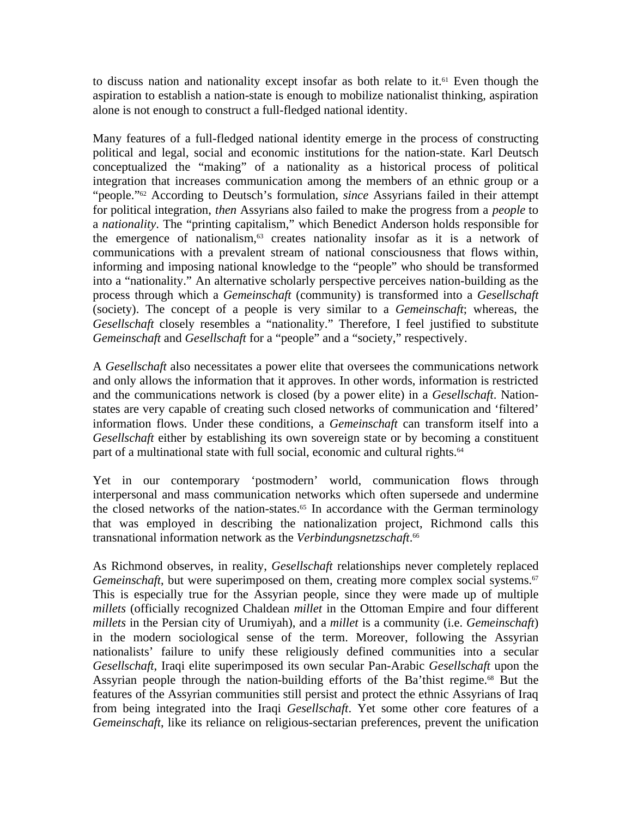to discuss nation and nationality except insofar as both relate to it.<sup> $61$ </sup> Even though the aspiration to establish a nation-state is enough to mobilize nationalist thinking, aspiration alone is not enough to construct a full-fledged national identity.

Many features of a full-fledged national identity emerge in the process of constructing political and legal, social and economic institutions for the nation-state. Karl Deutsch conceptualized the "making" of a nationality as a historical process of political integration that increases communication among the members of an ethnic group or a "people."<sup>62</sup> According to Deutsch's formulation, *since* Assyrians failed in their attempt for political integration, *then* Assyrians also failed to make the progress from a *people* to a *nationality*. The "printing capitalism," which Benedict Anderson holds responsible for the emergence of nationalism,63 creates nationality insofar as it is a network of communications with a prevalent stream of national consciousness that flows within, informing and imposing national knowledge to the "people" who should be transformed into a "nationality." An alternative scholarly perspective perceives nation-building as the process through which a *Gemeinschaft* (community) is transformed into a *Gesellschaft* (society). The concept of a people is very similar to a *Gemeinschaft*; whereas, the *Gesellschaft* closely resembles a "nationality." Therefore, I feel justified to substitute *Gemeinschaft* and *Gesellschaft* for a "people" and a "society," respectively.

A *Gesellschaft* also necessitates a power elite that oversees the communications network and only allows the information that it approves. In other words, information is restricted and the communications network is closed (by a power elite) in a *Gesellschaft*. Nationstates are very capable of creating such closed networks of communication and 'filtered' information flows. Under these conditions, a *Gemeinschaft* can transform itself into a *Gesellschaft* either by establishing its own sovereign state or by becoming a constituent part of a multinational state with full social, economic and cultural rights.<sup>64</sup>

Yet in our contemporary 'postmodern' world, communication flows through interpersonal and mass communication networks which often supersede and undermine the closed networks of the nation-states.<sup> $65$ </sup> In accordance with the German terminology that was employed in describing the nationalization project, Richmond calls this transnational information network as the *Verbindungsnetzschaft*. 66

As Richmond observes, in reality, *Gesellschaft* relationships never completely replaced *Gemeinschaft*, but were superimposed on them, creating more complex social systems.<sup>67</sup> This is especially true for the Assyrian people, since they were made up of multiple *millets* (officially recognized Chaldean *millet* in the Ottoman Empire and four different *millets* in the Persian city of Urumiyah), and a *millet* is a community (i.e. *Gemeinschaft*) in the modern sociological sense of the term. Moreover, following the Assyrian nationalists' failure to unify these religiously defined communities into a secular *Gesellschaft*, Iraqi elite superimposed its own secular Pan-Arabic *Gesellschaft* upon the Assyrian people through the nation-building efforts of the Ba'thist regime.<sup>68</sup> But the features of the Assyrian communities still persist and protect the ethnic Assyrians of Iraq from being integrated into the Iraqi *Gesellschaft*. Yet some other core features of a *Gemeinschaft*, like its reliance on religious-sectarian preferences, prevent the unification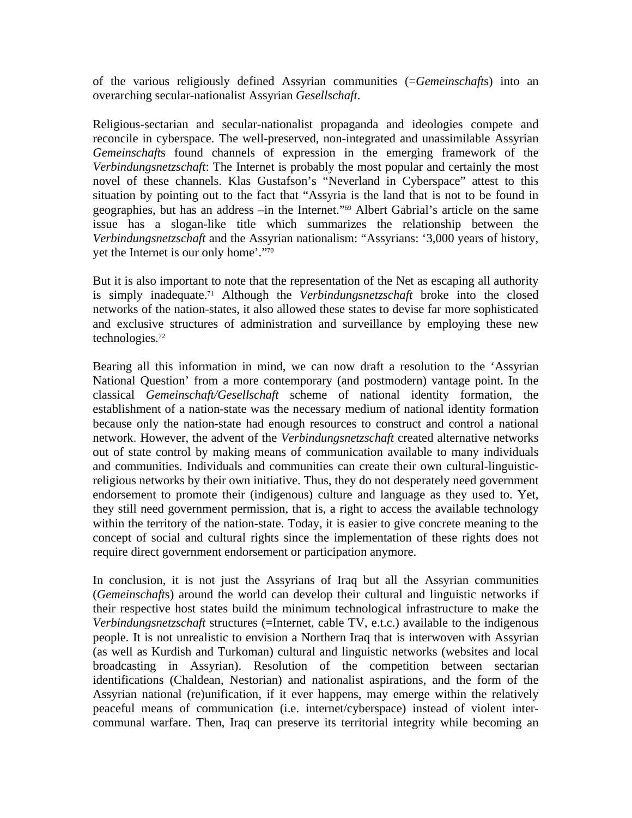of the various religiously defined Assyrian communities (=*Gemeinschaft*s) into an overarching secular-nationalist Assyrian *Gesellschaft*.

Religious-sectarian and secular-nationalist propaganda and ideologies compete and reconcile in cyberspace. The well-preserved, non-integrated and unassimilable Assyrian *Gemeinschaft*s found channels of expression in the emerging framework of the *Verbindungsnetzschaft*: The Internet is probably the most popular and certainly the most novel of these channels. Klas Gustafson's "Neverland in Cyberspace" attest to this situation by pointing out to the fact that "Assyria is the land that is not to be found in geographies, but has an address –in the Internet."<sup>69</sup> Albert Gabrial's article on the same issue has a slogan-like title which summarizes the relationship between the *Verbindungsnetzschaft* and the Assyrian nationalism: "Assyrians: '3,000 years of history, yet the Internet is our only home'."<sup>70</sup>

But it is also important to note that the representation of the Net as escaping all authority is simply inadequate.<sup>71</sup> Although the *Verbindungsnetzschaft* broke into the closed networks of the nation-states, it also allowed these states to devise far more sophisticated and exclusive structures of administration and surveillance by employing these new technologies.<sup>72</sup>

Bearing all this information in mind, we can now draft a resolution to the 'Assyrian National Question' from a more contemporary (and postmodern) vantage point. In the classical *Gemeinschaft/Gesellschaft* scheme of national identity formation, the establishment of a nation-state was the necessary medium of national identity formation because only the nation-state had enough resources to construct and control a national network. However, the advent of the *Verbindungsnetzschaft* created alternative networks out of state control by making means of communication available to many individuals and communities. Individuals and communities can create their own cultural-linguisticreligious networks by their own initiative. Thus, they do not desperately need government endorsement to promote their (indigenous) culture and language as they used to. Yet, they still need government permission, that is, a right to access the available technology within the territory of the nation-state. Today, it is easier to give concrete meaning to the concept of social and cultural rights since the implementation of these rights does not require direct government endorsement or participation anymore.

In conclusion, it is not just the Assyrians of Iraq but all the Assyrian communities (*Gemeinschaft*s) around the world can develop their cultural and linguistic networks if their respective host states build the minimum technological infrastructure to make the *Verbindungsnetzschaft* structures (=Internet, cable TV, e.t.c.) available to the indigenous people. It is not unrealistic to envision a Northern Iraq that is interwoven with Assyrian (as well as Kurdish and Turkoman) cultural and linguistic networks (websites and local broadcasting in Assyrian). Resolution of the competition between sectarian identifications (Chaldean, Nestorian) and nationalist aspirations, and the form of the Assyrian national (re)unification, if it ever happens, may emerge within the relatively peaceful means of communication (i.e. internet/cyberspace) instead of violent intercommunal warfare. Then, Iraq can preserve its territorial integrity while becoming an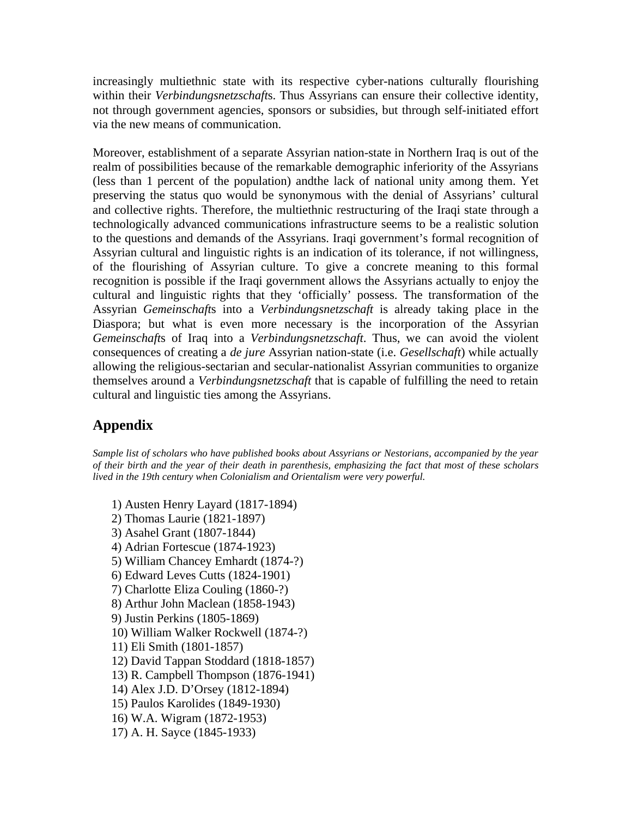increasingly multiethnic state with its respective cyber-nations culturally flourishing within their *Verbindungsnetzschaft*s. Thus Assyrians can ensure their collective identity, not through government agencies, sponsors or subsidies, but through self-initiated effort via the new means of communication.

Moreover, establishment of a separate Assyrian nation-state in Northern Iraq is out of the realm of possibilities because of the remarkable demographic inferiority of the Assyrians (less than 1 percent of the population) andthe lack of national unity among them. Yet preserving the status quo would be synonymous with the denial of Assyrians' cultural and collective rights. Therefore, the multiethnic restructuring of the Iraqi state through a technologically advanced communications infrastructure seems to be a realistic solution to the questions and demands of the Assyrians. Iraqi government's formal recognition of Assyrian cultural and linguistic rights is an indication of its tolerance, if not willingness, of the flourishing of Assyrian culture. To give a concrete meaning to this formal recognition is possible if the Iraqi government allows the Assyrians actually to enjoy the cultural and linguistic rights that they 'officially' possess. The transformation of the Assyrian *Gemeinschaft*s into a *Verbindungsnetzschaft* is already taking place in the Diaspora; but what is even more necessary is the incorporation of the Assyrian *Gemeinschaft*s of Iraq into a *Verbindungsnetzschaft*. Thus, we can avoid the violent consequences of creating a *de jure* Assyrian nation-state (i.e. *Gesellschaft*) while actually allowing the religious-sectarian and secular-nationalist Assyrian communities to organize themselves around a *Verbindungsnetzschaft* that is capable of fulfilling the need to retain cultural and linguistic ties among the Assyrians.

## **Appendix**

*Sample list of scholars who have published books about Assyrians or Nestorians, accompanied by the year of their birth and the year of their death in parenthesis, emphasizing the fact that most of these scholars lived in the 19th century when Colonialism and Orientalism were very powerful.*

1) Austen Henry Layard (1817-1894)

- 2) Thomas Laurie (1821-1897)
- 3) Asahel Grant (1807-1844)
- 4) Adrian Fortescue (1874-1923)
- 5) William Chancey Emhardt (1874-?)
- 6) Edward Leves Cutts (1824-1901)
- 7) Charlotte Eliza Couling (1860-?)
- 8) Arthur John Maclean (1858-1943)
- 9) Justin Perkins (1805-1869)
- 10) William Walker Rockwell (1874-?)
- 11) Eli Smith (1801-1857)
- 12) David Tappan Stoddard (1818-1857)
- 13) R. Campbell Thompson (1876-1941)
- 14) Alex J.D. D'Orsey (1812-1894)
- 15) Paulos Karolides (1849-1930)
- 16) W.A. Wigram (1872-1953)
- 17) A. H. Sayce (1845-1933)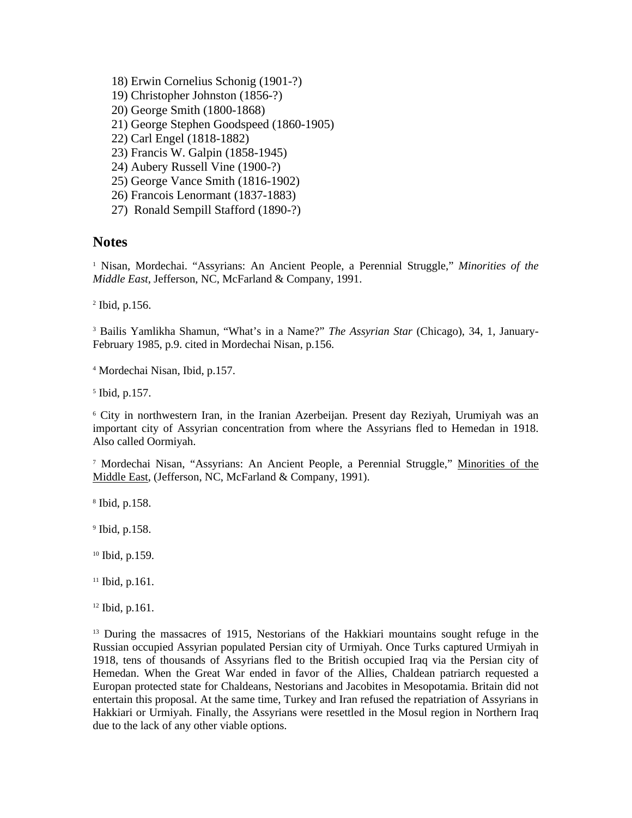- 18) Erwin Cornelius Schonig (1901-?)
- 19) Christopher Johnston (1856-?)
- 20) George Smith (1800-1868)
- 21) George Stephen Goodspeed (1860-1905)
- 22) Carl Engel (1818-1882)
- 23) Francis W. Galpin (1858-1945)
- 24) Aubery Russell Vine (1900-?)
- 25) George Vance Smith (1816-1902)
- 26) Francois Lenormant (1837-1883)
- 27) Ronald Sempill Stafford (1890-?)

## **Notes**

<sup>1</sup> Nisan, Mordechai. "Assyrians: An Ancient People, a Perennial Struggle," Minorities of the *Middle East*, Jefferson, NC, McFarland & Company, 1991.

2 Ibid, p.156.

3 Bailis Yamlikha Shamun, "What's in a Name?" *The Assyrian Star* (Chicago), 34, 1, January-February 1985, p.9. cited in Mordechai Nisan, p.156.

4 Mordechai Nisan, Ibid, p.157.

5 Ibid, p.157.

<sup>6</sup> City in northwestern Iran, in the Iranian Azerbeijan. Present day Reziyah, Urumiyah was an important city of Assyrian concentration from where the Assyrians fled to Hemedan in 1918. Also called Oormiyah.

<sup>7</sup> Mordechai Nisan, "Assyrians: An Ancient People, a Perennial Struggle," Minorities of the Middle East, (Jefferson, NC, McFarland & Company, 1991).

8 Ibid, p.158.

9 Ibid, p.158.

<sup>10</sup> Ibid, p.159.

 $11$  Ibid, p.161.

<sup>12</sup> Ibid, p.161.

<sup>13</sup> During the massacres of 1915, Nestorians of the Hakkiari mountains sought refuge in the Russian occupied Assyrian populated Persian city of Urmiyah. Once Turks captured Urmiyah in 1918, tens of thousands of Assyrians fled to the British occupied Iraq via the Persian city of Hemedan. When the Great War ended in favor of the Allies, Chaldean patriarch requested a Europan protected state for Chaldeans, Nestorians and Jacobites in Mesopotamia. Britain did not entertain this proposal. At the same time, Turkey and Iran refused the repatriation of Assyrians in Hakkiari or Urmiyah. Finally, the Assyrians were resettled in the Mosul region in Northern Iraq due to the lack of any other viable options.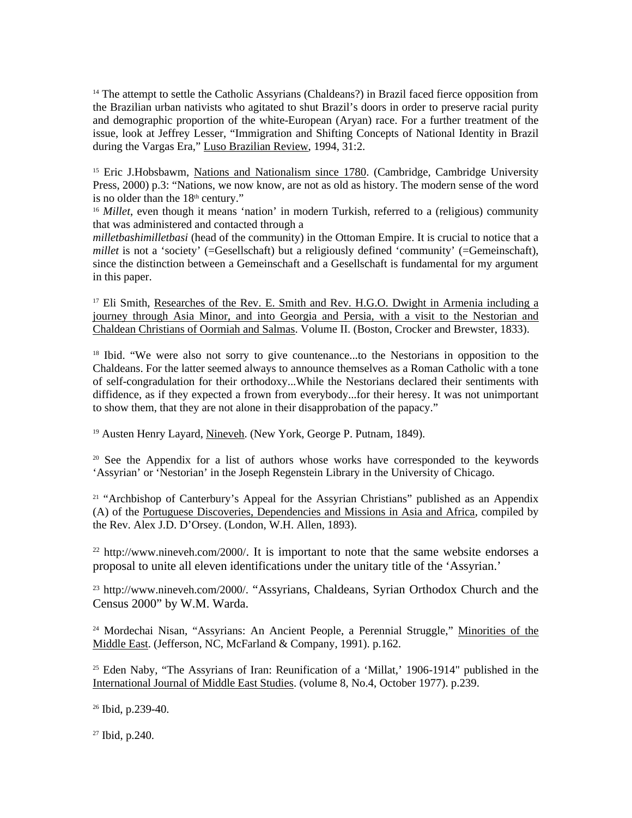<sup>14</sup> The attempt to settle the Catholic Assyrians (Chaldeans?) in Brazil faced fierce opposition from the Brazilian urban nativists who agitated to shut Brazil's doors in order to preserve racial purity and demographic proportion of the white-European (Aryan) race. For a further treatment of the issue, look at Jeffrey Lesser, "Immigration and Shifting Concepts of National Identity in Brazil during the Vargas Era," Luso Brazilian Review, 1994, 31:2.

<sup>15</sup> Eric J.Hobsbawm, Nations and Nationalism since 1780. (Cambridge, Cambridge University Press, 2000) p.3: "Nations, we now know, are not as old as history. The modern sense of the word is no older than the  $18<sup>th</sup>$  century."

<sup>16</sup> *Millet*, even though it means 'nation' in modern Turkish, referred to a (religious) community that was administered and contacted through a

*milletbashimilletbasi* (head of the community) in the Ottoman Empire. It is crucial to notice that a *millet* is not a 'society' (=Gesellschaft) but a religiously defined 'community' (=Gemeinschaft), since the distinction between a Gemeinschaft and a Gesellschaft is fundamental for my argument in this paper.

<sup>17</sup> Eli Smith, Researches of the Rev. E. Smith and Rev. H.G.O. Dwight in Armenia including a journey through Asia Minor, and into Georgia and Persia, with a visit to the Nestorian and Chaldean Christians of Oormiah and Salmas. Volume II. (Boston, Crocker and Brewster, 1833).

<sup>18</sup> Ibid. "We were also not sorry to give countenance...to the Nestorians in opposition to the Chaldeans. For the latter seemed always to announce themselves as a Roman Catholic with a tone of self-congradulation for their orthodoxy...While the Nestorians declared their sentiments with diffidence, as if they expected a frown from everybody...for their heresy. It was not unimportant to show them, that they are not alone in their disapprobation of the papacy."

<sup>19</sup> Austen Henry Layard, Nineveh. (New York, George P. Putnam, 1849).

<sup>20</sup> See the Appendix for a list of authors whose works have corresponded to the keywords 'Assyrian' or 'Nestorian' in the Joseph Regenstein Library in the University of Chicago.

<sup>21</sup> "Archbishop of Canterbury's Appeal for the Assyrian Christians" published as an Appendix (A) of the Portuguese Discoveries, Dependencies and Missions in Asia and Africa, compiled by the Rev. Alex J.D. D'Orsey. (London, W.H. Allen, 1893).

 $22$  http://www.nineveh.com/2000/. It is important to note that the same website endorses a proposal to unite all eleven identifications under the unitary title of the 'Assyrian.'

<sup>23</sup> http://www.nineveh.com/2000/. "Assyrians, Chaldeans, Syrian Orthodox Church and the Census 2000" by W.M. Warda.

<sup>24</sup> Mordechai Nisan, "Assyrians: An Ancient People, a Perennial Struggle," Minorities of the Middle East. (Jefferson, NC, McFarland & Company, 1991). p.162.

 $25$  Eden Naby, "The Assyrians of Iran: Reunification of a 'Millat,' 1906-1914" published in the International Journal of Middle East Studies. (volume 8, No.4, October 1977). p.239.

<sup>26</sup> Ibid, p.239-40.

27 Ibid, p.240.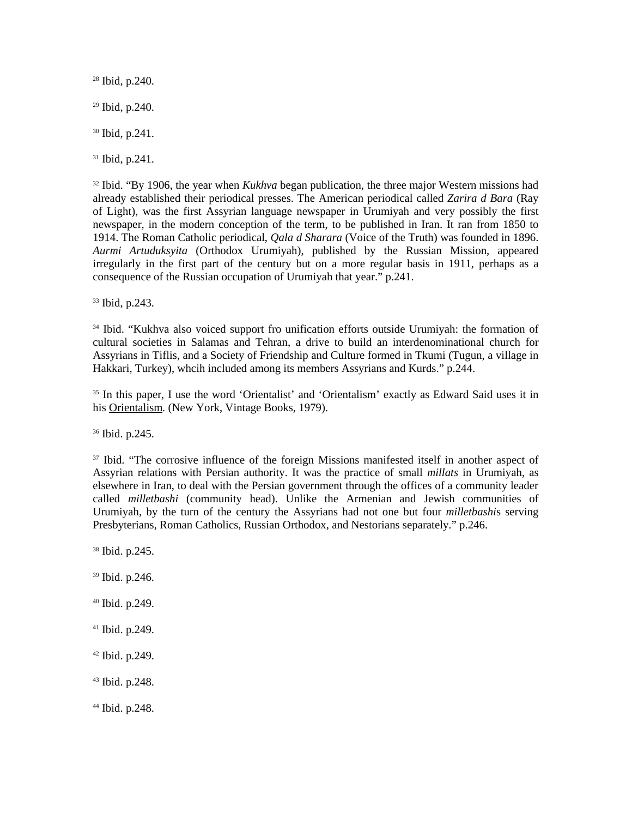Ibid, p.240. Ibid, p.240. Ibid, p.241. Ibid, p.241.

<sup>32</sup> Ibid. "By 1906, the year when *Kukhva* began publication, the three major Western missions had already established their periodical presses. The American periodical called *Zarira d Bara* (Ray of Light), was the first Assyrian language newspaper in Urumiyah and very possibly the first newspaper, in the modern conception of the term, to be published in Iran. It ran from 1850 to 1914. The Roman Catholic periodical, *Qala d Sharara* (Voice of the Truth) was founded in 1896. *Aurmi Artuduksyita* (Orthodox Urumiyah), published by the Russian Mission, appeared irregularly in the first part of the century but on a more regular basis in 1911, perhaps as a consequence of the Russian occupation of Urumiyah that year." p.241.

<sup>33</sup> Ibid, p.243.

<sup>34</sup> Ibid. "Kukhva also voiced support fro unification efforts outside Urumiyah: the formation of cultural societies in Salamas and Tehran, a drive to build an interdenominational church for Assyrians in Tiflis, and a Society of Friendship and Culture formed in Tkumi (Tugun, a village in Hakkari, Turkey), whcih included among its members Assyrians and Kurds." p.244.

<sup>35</sup> In this paper, I use the word 'Orientalist' and 'Orientalism' exactly as Edward Said uses it in his Orientalism. (New York, Vintage Books, 1979).

<sup>36</sup> Ibid. p.245.

<sup>37</sup> Ibid. "The corrosive influence of the foreign Missions manifested itself in another aspect of Assyrian relations with Persian authority. It was the practice of small *millats* in Urumiyah, as elsewhere in Iran, to deal with the Persian government through the offices of a community leader called *milletbashi* (community head). Unlike the Armenian and Jewish communities of Urumiyah, by the turn of the century the Assyrians had not one but four *milletbashi*s serving Presbyterians, Roman Catholics, Russian Orthodox, and Nestorians separately." p.246.

<sup>38</sup> Ibid. p.245. <sup>39</sup> Ibid. p.246.

<sup>40</sup> Ibid. p.249.

<sup>41</sup> Ibid. p.249.

<sup>42</sup> Ibid. p.249.

<sup>43</sup> Ibid. p.248.

44 Ibid. p.248.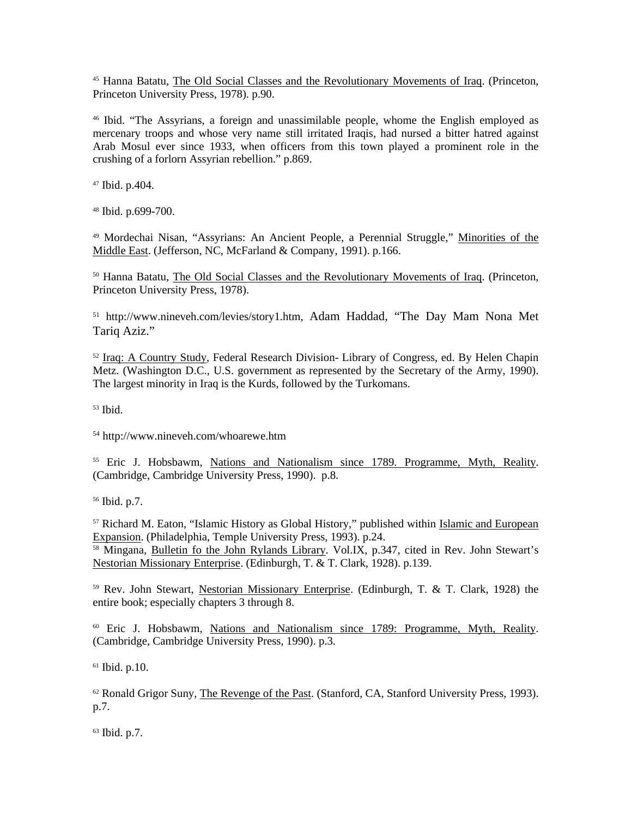<sup>45</sup> Hanna Batatu, The Old Social Classes and the Revolutionary Movements of Iraq. (Princeton, Princeton University Press, 1978). p.90.

<sup>46</sup> Ibid. "The Assyrians, a foreign and unassimilable people, whome the English employed as mercenary troops and whose very name still irritated Iraqis, had nursed a bitter hatred against Arab Mosul ever since 1933, when officers from this town played a prominent role in the crushing of a forlorn Assyrian rebellion." p.869.

<sup>47</sup> Ibid. p.404.

<sup>48</sup> Ibid. p.699-700.

<sup>49</sup> Mordechai Nisan, "Assyrians: An Ancient People, a Perennial Struggle," Minorities of the Middle East. (Jefferson, NC, McFarland & Company, 1991). p.166.

<sup>50</sup> Hanna Batatu, The Old Social Classes and the Revolutionary Movements of Iraq. (Princeton, Princeton University Press, 1978).

<sup>51</sup> http://www.nineveh.com/levies/story1.htm, Adam Haddad, "The Day Mam Nona Met Tariq Aziz."

<sup>52</sup> Iraq: A Country Study, Federal Research Division- Library of Congress, ed. By Helen Chapin Metz. (Washington D.C., U.S. government as represented by the Secretary of the Army, 1990). The largest minority in Iraq is the Kurds, followed by the Turkomans.

<sup>53</sup> Ibid.

<sup>54</sup> http://www.nineveh.com/whoarewe.htm

<sup>55</sup> Eric J. Hobsbawm, Nations and Nationalism since 1789. Programme, Myth, Reality. (Cambridge, Cambridge University Press, 1990). p.8.

<sup>56</sup> Ibid. p.7.

<sup>57</sup> Richard M. Eaton, "Islamic History as Global History," published within Islamic and European Expansion. (Philadelphia, Temple University Press, 1993). p.24.

<sup>58</sup> Mingana, Bulletin fo the John Rylands Library. Vol.IX, p.347, cited in Rev. John Stewart's Nestorian Missionary Enterprise. (Edinburgh, T. & T. Clark, 1928). p.139.

 $59$  Rev. John Stewart, Nestorian Missionary Enterprise. (Edinburgh, T. & T. Clark, 1928) the entire book; especially chapters 3 through 8.

<sup>60</sup> Eric J. Hobsbawm, Nations and Nationalism since 1789: Programme, Myth, Reality. (Cambridge, Cambridge University Press, 1990). p.3.

<sup>61</sup> Ibid. p.10.

 $62$  Ronald Grigor Suny, The Revenge of the Past. (Stanford, CA, Stanford University Press, 1993). p.7.

<sup>63</sup> Ibid. p.7.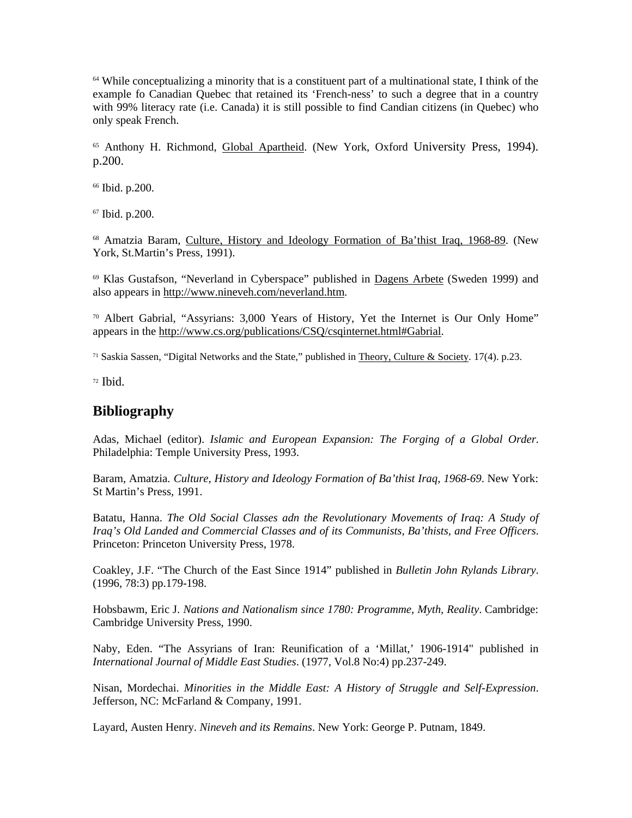$64$  While conceptualizing a minority that is a constituent part of a multinational state. I think of the example fo Canadian Quebec that retained its 'French-ness' to such a degree that in a country with 99% literacy rate (i.e. Canada) it is still possible to find Candian citizens (in Quebec) who only speak French.

<sup>65</sup> Anthony H. Richmond, Global Apartheid. (New York, Oxford University Press, 1994). p.200.

<sup>66</sup> Ibid. p.200.

<sup>67</sup> Ibid. p.200.

<sup>68</sup> Amatzia Baram, Culture, History and Ideology Formation of Ba'thist Iraq, 1968-89. (New York, St.Martin's Press, 1991).

<sup>69</sup> Klas Gustafson, "Neverland in Cyberspace" published in Dagens Arbete (Sweden 1999) and also appears in http://www.nineveh.com/neverland.htm.

<sup>70</sup> Albert Gabrial, "Assyrians: 3,000 Years of History, Yet the Internet is Our Only Home" appears in the http://www.cs.org/publications/CSQ/csqinternet.html#Gabrial.

<sup>71</sup> Saskia Sassen, "Digital Networks and the State," published in Theory, Culture & Society. 17(4). p.23.

 $72$  Ibid.

## **Bibliography**

Adas, Michael (editor). *Islamic and European Expansion: The Forging of a Global Order*. Philadelphia: Temple University Press, 1993.

Baram, Amatzia. *Culture, History and Ideology Formation of Ba'thist Iraq, 1968-69*. New York: St Martin's Press, 1991.

Batatu, Hanna. *The Old Social Classes adn the Revolutionary Movements of Iraq: A Study of Iraq's Old Landed and Commercial Classes and of its Communists, Ba'thists, and Free Officers*. Princeton: Princeton University Press, 1978.

Coakley, J.F. "The Church of the East Since 1914" published in *Bulletin John Rylands Library*. (1996, 78:3) pp.179-198.

Hobsbawm, Eric J. *Nations and Nationalism since 1780: Programme, Myth, Reality*. Cambridge: Cambridge University Press, 1990.

Naby, Eden. "The Assyrians of Iran: Reunification of a 'Millat,' 1906-1914" published in *International Journal of Middle East Studies*. (1977, Vol.8 No:4) pp.237-249.

Nisan, Mordechai. *Minorities in the Middle East: A History of Struggle and Self-Expression*. Jefferson, NC: McFarland & Company, 1991.

Layard, Austen Henry. *Nineveh and its Remains*. New York: George P. Putnam, 1849.